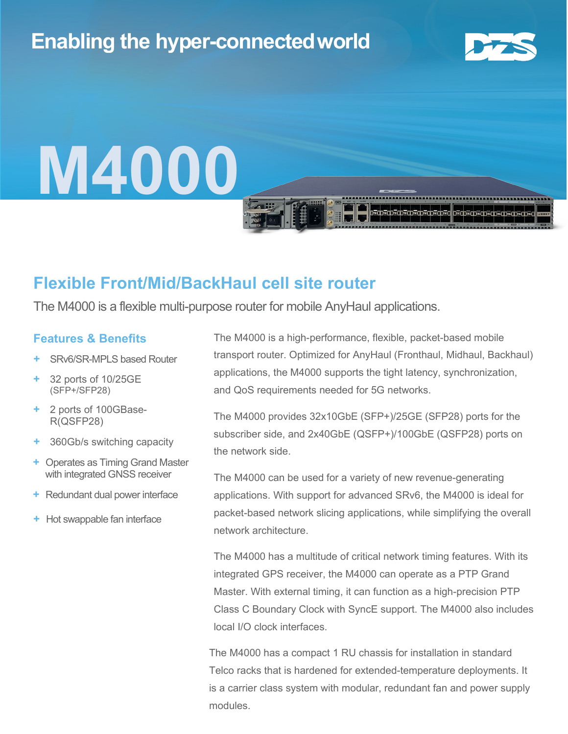# **Enabling the hyper-connectedworld**



# **M4000**

### **Flexible Front/Mid/BackHaul cell site router**

The M4000 is a flexible multi-purpose router for mobile AnyHaul applications.

#### **Features & Benefits**

- **+** SRv6/SR-MPLS based Router
- **+** 32 ports of 10/25GE (SFP+/SFP28)
- **+** 2 ports of 100GBase-R(QSFP28)
- **+** 360Gb/s switching capacity
- **+** Operates as Timing Grand Master with integrated GNSS receiver
- **+** Redundant dual power interface
- **+** Hot swappable fan interface

The M4000 is a high-performance, flexible, packet-based mobile transport router. Optimized for AnyHaul (Fronthaul, Midhaul, Backhaul) applications, the M4000 supports the tight latency, synchronization, and QoS requirements needed for 5G networks.

The M4000 provides 32x10GbE (SFP+)/25GE (SFP28) ports for the subscriber side, and 2x40GbE (QSFP+)/100GbE (QSFP28) ports on the network side.

The M4000 can be used for a variety of new revenue-generating applications. With support for advanced SRv6, the M4000 is ideal for packet-based network slicing applications, while simplifying the overall network architecture.

The M4000 has a multitude of critical network timing features. With its integrated GPS receiver, the M4000 can operate as a PTP Grand Master. With external timing, it can function as a high-precision PTP Class C Boundary Clock with SyncE support. The M4000 also includes local I/O clock interfaces.

The M4000 has a compact 1 RU chassis for installation in standard Telco racks that is hardened for extended-temperature deployments. It is a carrier class system with modular, redundant fan and power supply modules.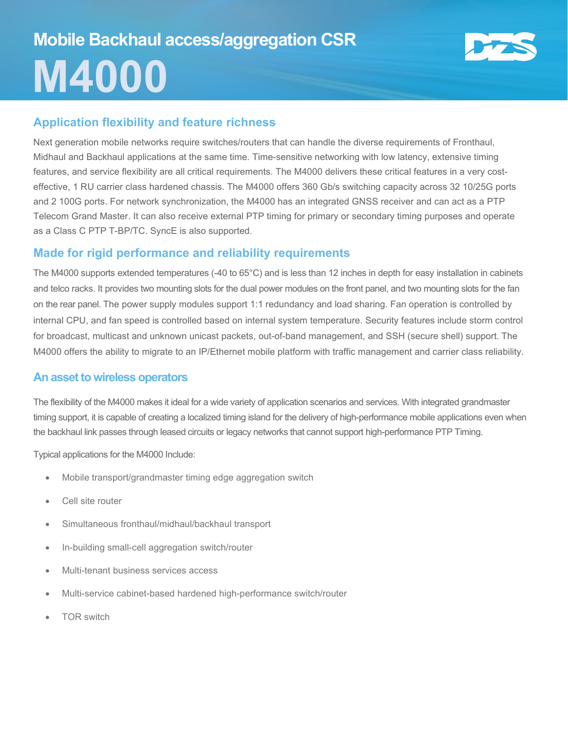

#### **Application flexibility and feature richness**

Next generation mobile networks require switches/routers that can handle the diverse requirements of Fronthaul, Midhaul and Backhaul applications at the same time. Time-sensitive networking with low latency, extensive timing features, and service flexibility are all critical requirements. The M4000 delivers these critical features in a very costeffective, 1 RU carrier class hardened chassis. The M4000 offers 360 Gb/s switching capacity across 32 10/25G ports and 2 100G ports. For network synchronization, the M4000 has an integrated GNSS receiver and can act as a PTP Telecom Grand Master. It can also receive external PTP timing for primary or secondary timing purposes and operate as a Class C PTP T-BP/TC. SyncE is also supported.

#### **Made for rigid performance and reliability requirements**

The M4000 supports extended temperatures (-40 to 65°C) and is less than 12 inches in depth for easy installation in cabinets and telco racks. It provides two mounting slots for the dual power modules on the front panel, and two mounting slots for the fan on the rear panel. The power supply modules support 1:1 redundancy and load sharing. Fan operation is controlled by internal CPU, and fan speed is controlled based on internal system temperature. Security features include storm control for broadcast, multicast and unknown unicast packets, out-of-band management, and SSH (secure shell) support. The M4000 offers the ability to migrate to an IP/Ethernet mobile platform with traffic management and carrier class reliability.

#### **An asset to wireless operators**

The flexibility of the M4000 makes it ideal for a wide variety of application scenarios and services. With integrated grandmaster timing support, it is capable of creating a localized timing island for the delivery of high-performance mobile applications even when the backhaul link passes through leased circuits or legacy networks that cannot support high-performance PTP Timing.

Typical applications for the M4000 Include:

- Mobile transport/grandmaster timing edge aggregation switch
- Cell site router
- Simultaneous fronthaul/midhaul/backhaul transport
- In-building small-cell aggregation switch/router
- Multi-tenant business services access
- Multi-service cabinet-based hardened high-performance switch/router
- **TOR** switch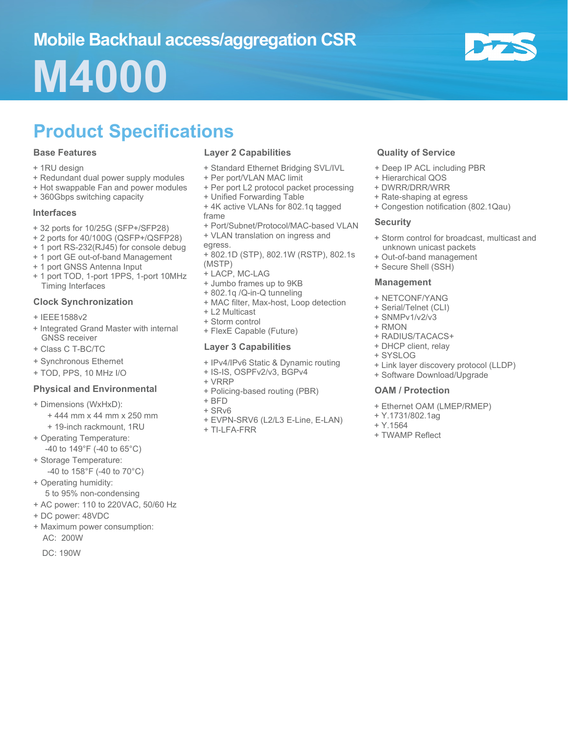# **M4000**



# **Product Specifications**

#### **Base Features**

- + 1RU design
- + Redundant dual power supply modules
- + Hot swappable Fan and power modules
- + 360Gbps switching capacity

#### **Interfaces**

- + 32 ports for 10/25G (SFP+/SFP28)
- + 2 ports for 40/100G (QSFP+/QSFP28)
- + 1 port RS-232(RJ45) for console debug
- + 1 port GE out-of-band Management
- + 1 port GNSS Antenna Input
- + 1 port TOD, 1-port 1PPS, 1-port 10MHz Timing Interfaces

#### **Clock Synchronization**

- + IEEE1588v2
- + Integrated Grand Master with internal GNSS receiver
- + Class C T-BC/TC
- + Synchronous Ethernet
- + TOD, PPS, 10 MHz I/O

#### **Physical and Environmental**

- + Dimensions (WxHxD):
	- + 444 mm x 44 mm x 250 mm
- + 19-inch rackmount, 1RU
- + Operating Temperature: -40 to 149°F (-40 to 65°C)
- + Storage Temperature: -40 to 158°F (-40 to 70°C)
- + Operating humidity:
- 5 to 95% non-condensing
- + AC power: 110 to 220VAC, 50/60 Hz
- + DC power: 48VDC
- + Maximum power consumption: AC: 200W
	- DC: 190W

#### **Layer 2 Capabilities**

- + Standard Ethernet Bridging SVL/IVL
- + Per port/VLAN MAC limit
- + Per port L2 protocol packet processing
- + Unified Forwarding Table
- + 4K active VLANs for 802.1q tagged frame
- + Port/Subnet/Protocol/MAC-based VLAN
- + VLAN translation on ingress and
- egress.
- + 802.1D (STP), 802.1W (RSTP), 802.1s (MSTP)
- + LACP, MC-LAG
- + Jumbo frames up to 9KB
- + 802.1q /Q-in-Q tunneling
- + MAC filter, Max-host, Loop detection
- + L2 Multicast
- + Storm control
- + FlexE Capable (Future)

#### **Layer 3 Capabilities**

- + IPv4/IPv6 Static & Dynamic routing
- + IS-IS, OSPFv2/v3, BGPv4
- + VRRP
- + Policing-based routing (PBR)
- + BFD
- + SRv6
- + EVPN-SRV6 (L2/L3 E-Line, E-LAN)
- + TI-LFA-FRR

#### **Quality of Service**

- + Deep IP ACL including PBR
- + Hierarchical QOS
- + DWRR/DRR/WRR
- + Rate-shaping at egress
- + Congestion notification (802.1Qau)

#### **Security**

- + Storm control for broadcast, multicast and unknown unicast packets
- + Out-of-band management
- + Secure Shell (SSH)

#### **Management**

- + NETCONF/YANG
- + Serial/Telnet (CLI)
- + SNMPv1/v2/v3
- + RMON
- + RADIUS/TACACS+
- + DHCP client, relay
- + SYSLOG
- + Link layer discovery protocol (LLDP)
- + Software Download/Upgrade

#### **OAM / Protection**

- + Ethernet OAM (LMEP/RMEP)
- + Y.1731/802.1ag
- + Y.1564
- + TWAMP Reflect